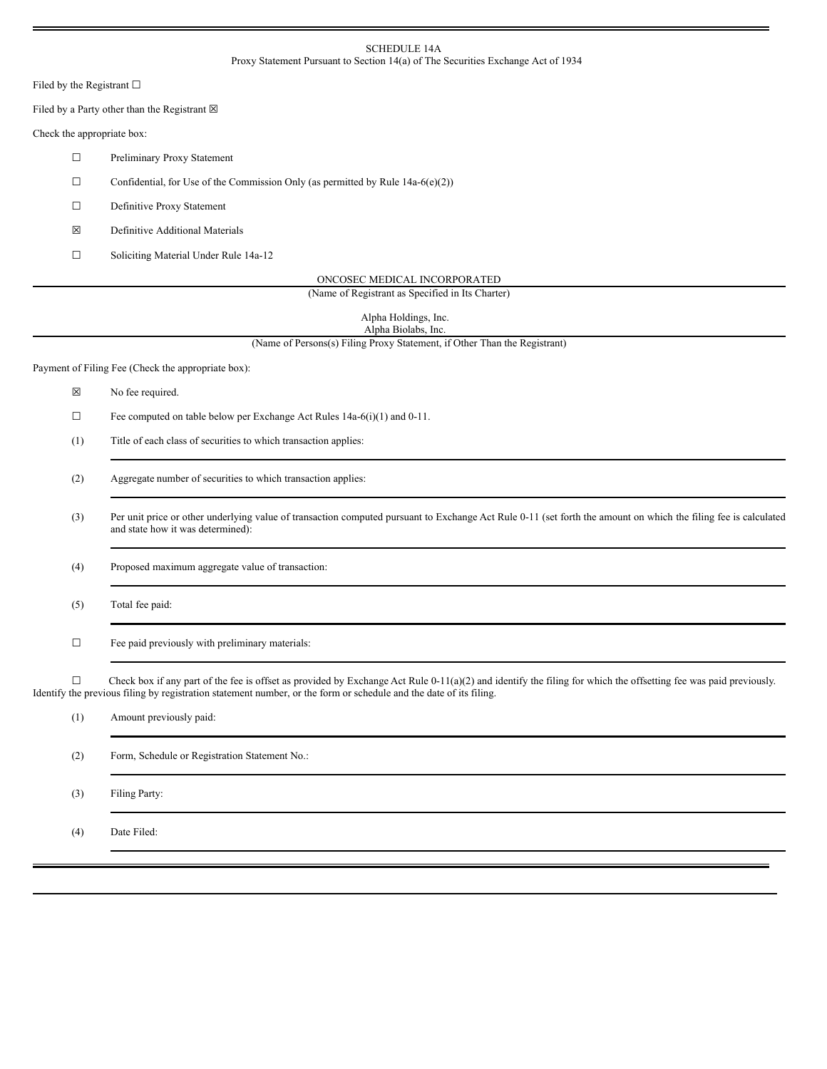## SCHEDULE 14A Proxy Statement Pursuant to Section 14(a) of The Securities Exchange Act of 1934

Filed by the Registrant  $\square$ 

Filed by a Party other than the Registrant  $\boxtimes$ 

Check the appropriate box:

☐ Preliminary Proxy Statement

 $\Box$  Confidential, for Use of the Commission Only (as permitted by Rule 14a-6(e)(2))

☐ Definitive Proxy Statement

☒ Definitive Additional Materials

☐ Soliciting Material Under Rule 14a-12

ONCOSEC MEDICAL INCORPORATED

(Name of Registrant as Specified in Its Charter)

Alpha Holdings, Inc. Alpha Biolabs, Inc.

(Name of Persons(s) Filing Proxy Statement, if Other Than the Registrant)

Payment of Filing Fee (Check the appropriate box):

☒ No fee required.

☐ Fee computed on table below per Exchange Act Rules 14a-6(i)(1) and 0-11.

(1) Title of each class of securities to which transaction applies:

(2) Aggregate number of securities to which transaction applies:

(3) Per unit price or other underlying value of transaction computed pursuant to Exchange Act Rule 0-11 (set forth the amount on which the filing fee is calculated and state how it was determined):

(4) Proposed maximum aggregate value of transaction:

(5) Total fee paid:

 $\Box$  Fee paid previously with preliminary materials:

 $\Box$  Check box if any part of the fee is offset as provided by Exchange Act Rule 0-11(a)(2) and identify the filing for which the offsetting fee was paid previously. Identify the previous filing by registration statement number, or the form or schedule and the date of its filing.

| (1) | Amount previously paid:                       |
|-----|-----------------------------------------------|
| (2) | Form, Schedule or Registration Statement No.: |
| (3) | Filing Party:                                 |
| (4) | Date Filed:                                   |